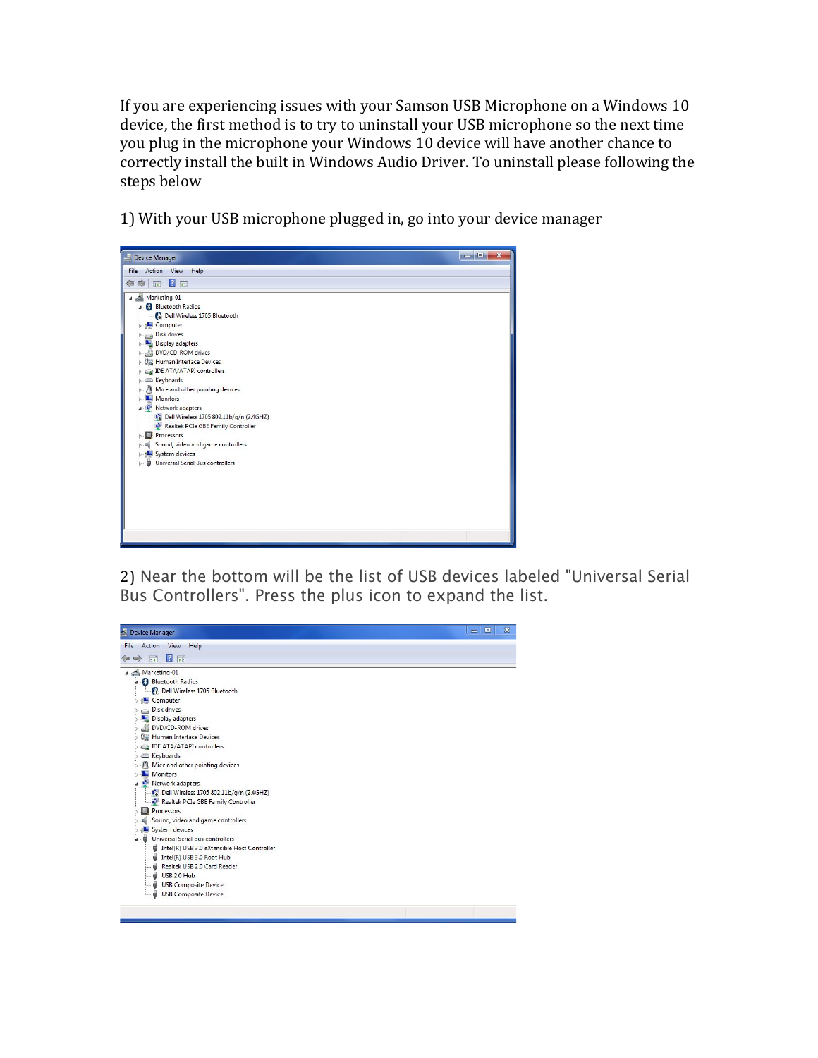If you are experiencing issues with your Samson USB Microphone on a Windows 10 device, the first method is to try to uninstall your USB microphone so the next time you plug in the microphone your Windows 10 device will have another chance to correctly install the built in Windows Audio Driver. To uninstall please following the steps below

1) With your USB microphone plugged in, go into your device manager



2) Near the bottom will be the list of USB devices labeled "Universal Serial Bus Controllers". Press the plus icon to expand the list.

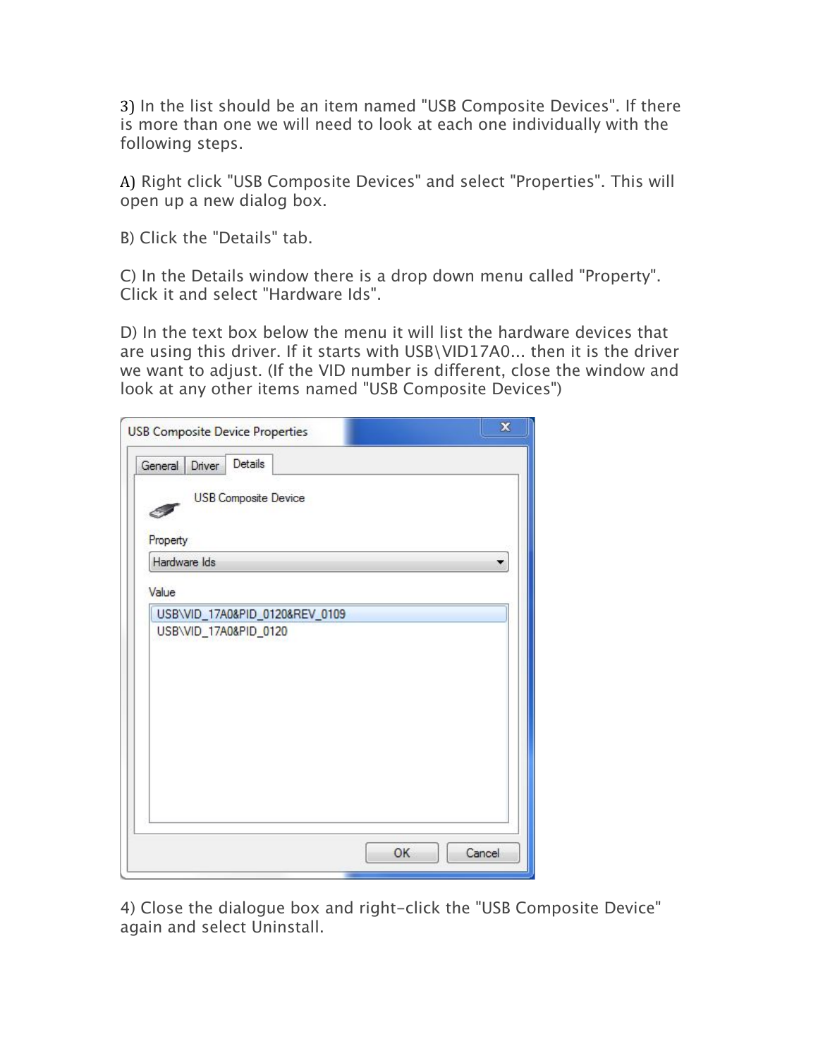3) In the list should be an item named "USB Composite Devices". If there is more than one we will need to look at each one individually with the following steps.

A) Right click "USB Composite Devices" and select "Properties". This will open up a new dialog box.

B) Click the "Details" tab.

C) In the Details window there is a drop down menu called "Property". Click it and select "Hardware Ids".

D) In the text box below the menu it will list the hardware devices that are using this driver. If it starts with USB\VID17A0... then it is the driver we want to adjust. (If the VID number is different, close the window and look at any other items named "USB Composite Devices")

|              |        | <b>USB Composite Device Properties</b> |  |    | $\mathbf x$ |
|--------------|--------|----------------------------------------|--|----|-------------|
| General      | Driver | Details                                |  |    |             |
| Property     |        | <b>USB Composite Device</b>            |  |    |             |
| Hardware Ids |        |                                        |  |    |             |
| Value        |        |                                        |  |    |             |
|              |        |                                        |  |    |             |
|              |        |                                        |  | OK | Cancel      |

4) Close the dialogue box and right-click the "USB Composite Device" again and select Uninstall.